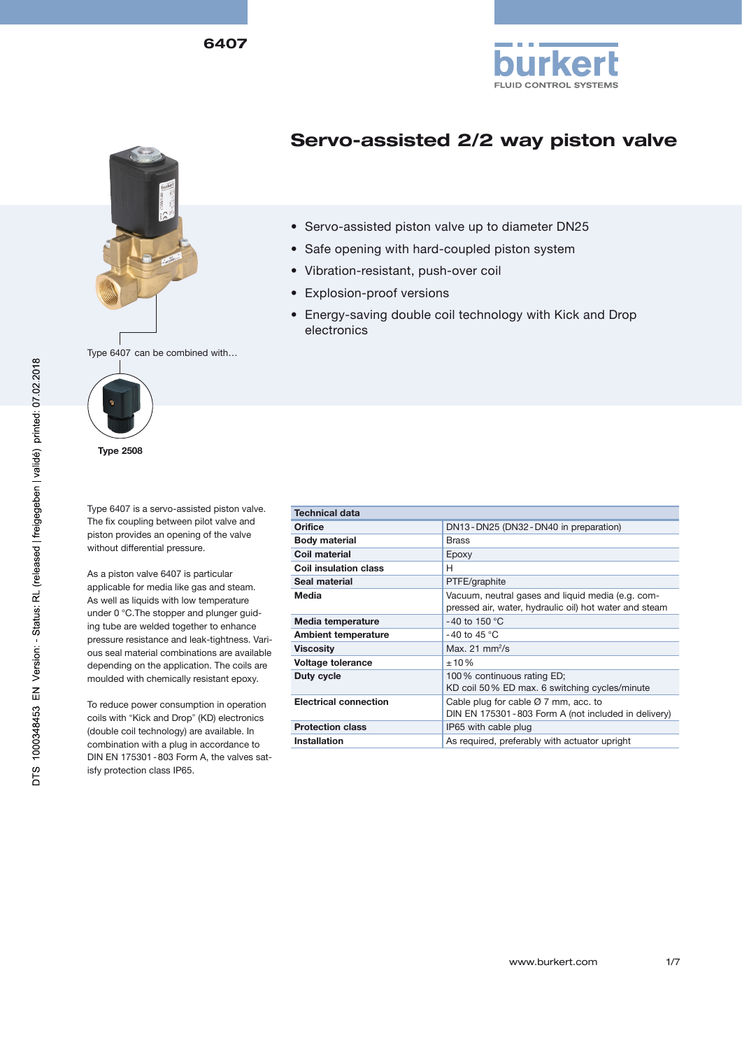





# Servo-assisted 2/2 way piston valve

- Servo-assisted piston valve up to diameter DN25
- Safe opening with hard-coupled piston system
- Vibration-resistant, push-over coil
- Explosion-proof versions
- Energy-saving double coil technology with Kick and Drop electronics

Type 6407 can be combined with…



Type 2508

Type 6407 is a servo-assisted piston valve. The fix coupling between pilot valve and piston provides an opening of the valve without differential pressure.

As a piston valve 6407 is particular applicable for media like gas and steam. As well as liquids with low temperature under 0 °C.The stopper and plunger guiding tube are welded together to enhance pressure resistance and leak-tightness. Various seal material combinations are available depending on the application. The coils are moulded with chemically resistant epoxy.

To reduce power consumption in operation coils with "Kick and Drop" (KD) electronics (double coil technology) are available. In combination with a plug in accordance to DIN EN 175301-803 Form A, the valves satisfy protection class IP65.

| <b>Technical data</b>        |                                                                                                             |
|------------------------------|-------------------------------------------------------------------------------------------------------------|
| Orifice                      | DN13-DN25 (DN32-DN40 in preparation)                                                                        |
| <b>Body material</b>         | <b>Brass</b>                                                                                                |
| Coil material                | Epoxy                                                                                                       |
| <b>Coil insulation class</b> | н                                                                                                           |
| Seal material                | PTFE/graphite                                                                                               |
| Media                        | Vacuum, neutral gases and liquid media (e.g. com-<br>pressed air, water, hydraulic oil) hot water and steam |
| Media temperature            | -40 to 150 $^{\circ}$ C                                                                                     |
| <b>Ambient temperature</b>   | -40 to 45 $^{\circ}$ C                                                                                      |
| <b>Viscosity</b>             | Max. 21 $mm^2/s$                                                                                            |
| Voltage tolerance            | ±10%                                                                                                        |
| Duty cycle                   | 100% continuous rating ED;<br>KD coil 50% ED max. 6 switching cycles/minute                                 |
| <b>Electrical connection</b> | Cable plug for cable $\varnothing$ 7 mm, acc. to<br>DIN EN 175301-803 Form A (not included in delivery)     |
| <b>Protection class</b>      | IP65 with cable plug                                                                                        |
| <b>Installation</b>          | As required, preferably with actuator upright                                                               |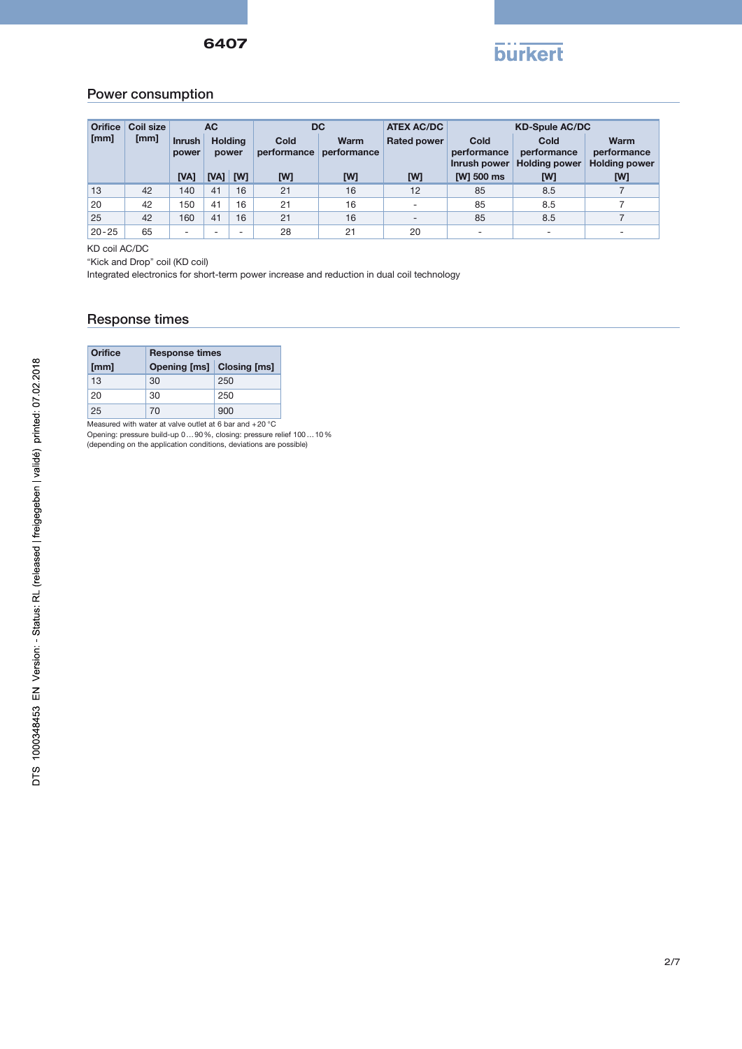

## Power consumption

| <b>Orifice</b> | Coil size |                          | <b>AC</b><br><b>Holding</b><br>power |                          | <b>DC</b><br>Cold<br><b>Warm</b><br>performance<br>performance |     | <b>ATEX AC/DC</b>        | <b>KD-Spule AC/DC</b>               |                                             |                                             |  |
|----------------|-----------|--------------------------|--------------------------------------|--------------------------|----------------------------------------------------------------|-----|--------------------------|-------------------------------------|---------------------------------------------|---------------------------------------------|--|
| [mm]           | [mm]      | <b>Inrush</b><br>power   |                                      |                          |                                                                |     | <b>Rated power</b>       | Cold<br>performance<br>Inrush power | Cold<br>performance<br><b>Holding power</b> | Warm<br>performance<br><b>Holding power</b> |  |
|                |           | [VA]                     | [VA]                                 | <b>TWT</b>               | [W]                                                            | [W] | [W]                      | [W] 500 ms                          | [W]                                         | [W]                                         |  |
| 13             | 42        | 140                      | 41                                   | 16                       | 21                                                             | 16  | 12                       | 85                                  | 8.5                                         |                                             |  |
| 20             | 42        | 150                      | 41                                   | 16                       | 21                                                             | 16  | $\overline{\phantom{0}}$ | 85                                  | 8.5                                         |                                             |  |
| 25             | 42        | 160                      | 41                                   | 16                       | 21                                                             | 16  | $\overline{\phantom{a}}$ | 85                                  | 8.5                                         |                                             |  |
| $20 - 25$      | 65        | $\overline{\phantom{0}}$ | $\overline{\phantom{0}}$             | $\overline{\phantom{0}}$ | 28                                                             | 21  | 20                       |                                     |                                             |                                             |  |

KD coil AC/DC

"Kick and Drop" coil (KD coil)

Integrated electronics for short-term power increase and reduction in dual coil technology

#### Response times

| Orifice | <b>Response times</b>     |     |  |  |  |  |  |  |
|---------|---------------------------|-----|--|--|--|--|--|--|
| [mm]    | Opening [ms] Closing [ms] |     |  |  |  |  |  |  |
| 13      | 30                        | 250 |  |  |  |  |  |  |
| 20      | 30                        | 250 |  |  |  |  |  |  |
| 25      | 70                        | 900 |  |  |  |  |  |  |

Measured with water at valve outlet at 6 bar and +20 °C Opening: pressure build-up 0…90%, closing: pressure relief 100…10% (depending on the application conditions, deviations are possible)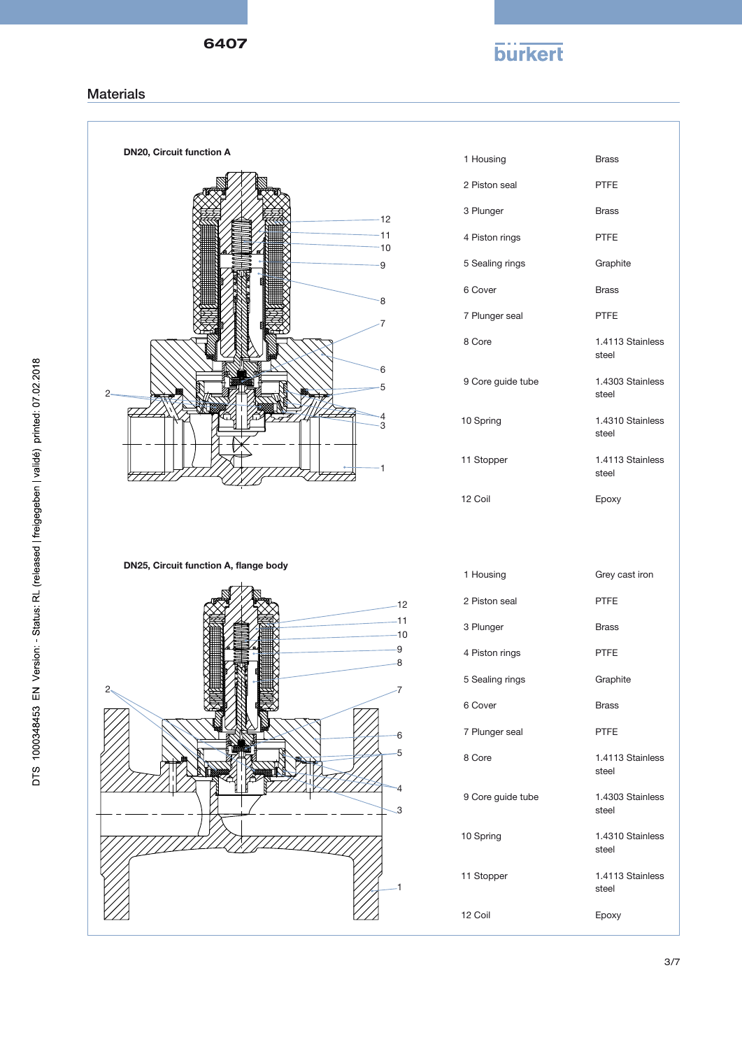6407

# **burkert**

### **Materials**



| <b>PTFE</b>               |
|---------------------------|
| <b>Brass</b>              |
| <b>PTFE</b>               |
| Graphite                  |
| <b>Brass</b>              |
| <b>PTFE</b>               |
| 1.4113 Stainless<br>steel |
| 1.4303 Stainless<br>steel |
| 1.4310 Stainless<br>steel |
| 1.4113 Stainless<br>steel |
| Epoxy                     |

Grey cast iron

PTFE

Brass

PTFE

**Graphite** 

1.4113 Stainless

1.4303 Stainless

1.4310 Stainless

1.4113 Stainless

Brass PTFE

steel

steel

steel

steel

Epoxy

Brass

3/7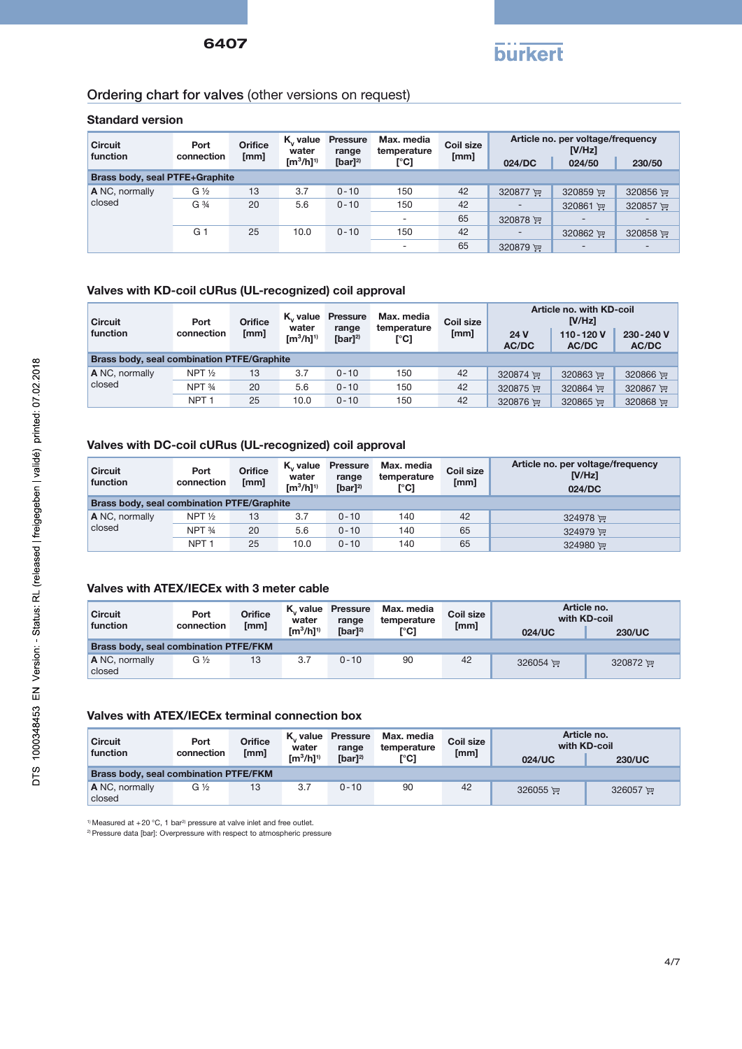

## Ordering chart for valves (other versions on request)

#### Standard version

| <b>Circuit</b><br>function            | Port<br>connection | <b>Orifice</b><br>[mm] | K., value<br>water<br>$\rm [m^3/h]^{1}$ | <b>Pressure</b><br>range | Max. media<br>temperature<br>[°C] | Coil size<br>[mm] | Article no. per voltage/frequency<br>$IV/Hz$ ] |                          |          |  |
|---------------------------------------|--------------------|------------------------|-----------------------------------------|--------------------------|-----------------------------------|-------------------|------------------------------------------------|--------------------------|----------|--|
|                                       |                    |                        |                                         | [bar] $^{2)}$            |                                   |                   | 024/DC                                         | 024/50                   | 230/50   |  |
| <b>Brass body, seal PTFE+Graphite</b> |                    |                        |                                         |                          |                                   |                   |                                                |                          |          |  |
| A NC, normally                        | $G\frac{1}{2}$     | 13                     | 3.7                                     | $0 - 10$                 | 150                               | 42                | 320877                                         | 320859 $F$               | 320856   |  |
| closed                                | G 3/4              | 20                     | 5.6                                     | $0 - 10$                 | 150                               | 42                | $\overline{a}$                                 | 320861 ™                 | 320857   |  |
|                                       |                    |                        |                                         |                          |                                   | 65                | 320878 厘                                       |                          |          |  |
|                                       | G 1                | 25                     | 10.0                                    | $0 - 10$                 | 150                               | 42                | $\overline{\phantom{a}}$                       | 320862 里                 | 320858 厘 |  |
|                                       |                    |                        |                                         |                          | $\overline{\phantom{0}}$          | 65                | 320879 厘                                       | $\overline{\phantom{a}}$ |          |  |

#### Valves with KD-coil cURus (UL-recognized) coil approval

| <b>Circuit</b><br>function | Port<br>connection                                | <b>Orifice</b><br>[mm] | K <sub>v</sub> value<br>water<br>$\text{Im}^{3}/\text{h}$ l <sup>1)</sup> | <b>Pressure</b><br>range<br>[bar] $^{2)}$ | Max. media<br>temperature<br>[°C] | Coil size<br>[mm] | 24 V<br><b>AC/DC</b> | Article no. with KD-coil<br>IV/Hz<br>110-120V<br><b>AC/DC</b> | 230-240 V<br>AC/DC |  |  |
|----------------------------|---------------------------------------------------|------------------------|---------------------------------------------------------------------------|-------------------------------------------|-----------------------------------|-------------------|----------------------|---------------------------------------------------------------|--------------------|--|--|
|                            | <b>Brass body, seal combination PTFE/Graphite</b> |                        |                                                                           |                                           |                                   |                   |                      |                                                               |                    |  |  |
| A NC, normally             | NPT $\frac{1}{2}$                                 | 13                     | 3.7                                                                       | $0 - 10$                                  | 150                               | 42                | 320874 ਦਾ            | 320863 评                                                      | 320866 评           |  |  |
| closed                     | NPT 34                                            | 20                     | 5.6                                                                       | $0 - 10$                                  | 150                               | 42                | 320875 评             | 320864 厘                                                      | 320867 里           |  |  |
|                            | NPT <sub>1</sub>                                  | 25                     | 10.0                                                                      | $0 - 10$                                  | 150                               | 42                | 320876 里             | 320865 ਦਾ                                                     | 320868 弹           |  |  |

#### Valves with DC-coil cURus (UL-recognized) coil approval

| <b>Circuit</b><br>function                        | Port<br>connection | <b>Orifice</b><br>[mm] | K, value<br>water<br>$\text{Im}^3/\text{hl}^{1}$ | <b>Pressure</b><br>range<br>$[bar]^{2)}$ | Max. media<br>temperature<br>[°C] | Coil size<br>[mm] | Article no. per voltage/frequency<br>[V/Hz]<br>024/DC |  |  |  |
|---------------------------------------------------|--------------------|------------------------|--------------------------------------------------|------------------------------------------|-----------------------------------|-------------------|-------------------------------------------------------|--|--|--|
| <b>Brass body, seal combination PTFE/Graphite</b> |                    |                        |                                                  |                                          |                                   |                   |                                                       |  |  |  |
| A NC, normally                                    | NPT $\frac{1}{2}$  | 13                     | 3.7                                              | $0 - 10$                                 | 140                               | 42                | 324978                                                |  |  |  |
| closed                                            | NPT 34             | 20                     | 5.6                                              | $0 - 10$                                 | 140                               | 65                | 324979 更                                              |  |  |  |
|                                                   | NPT <sub>1</sub>   | 25                     | 10.0                                             | $0 - 10$                                 | 140                               | 65                | 324980 P                                              |  |  |  |

#### Valves with ATEX/IECEx with 3 meter cable

| <b>Circuit</b><br>function | Port<br>connection                           | <b>Orifice</b><br>[mm] | K., value<br>water<br>$\text{Im}^3/\text{hl}^{1/3}$ | <b>Pressure</b><br>range<br>$[bar]^{2)}$ | Max. media<br>temperature<br>[°C] | Coil size<br>[mm] | Article no.<br>with KD-coil<br><b>230/UC</b><br>024/UC |           |  |  |
|----------------------------|----------------------------------------------|------------------------|-----------------------------------------------------|------------------------------------------|-----------------------------------|-------------------|--------------------------------------------------------|-----------|--|--|
|                            | <b>Brass body, seal combination PTFE/FKM</b> |                        |                                                     |                                          |                                   |                   |                                                        |           |  |  |
| A NC, normally<br>closed   | $G\frac{1}{2}$                               | 13                     | 3.7                                                 | $0 - 10$                                 | 90                                | 42                | 326054 更                                               | 320872 ਦਾ |  |  |

#### Valves with ATEX/IECEx terminal connection box

| <b>Circuit</b><br>function | Port<br>connection                           | <b>Orifice</b><br>[mm] | K <sub>v</sub> value<br>water | Pressure<br>range | Max. media<br>temperature | Coil size<br>[mm] | Article no. | with KD-coil  |  |  |
|----------------------------|----------------------------------------------|------------------------|-------------------------------|-------------------|---------------------------|-------------------|-------------|---------------|--|--|
|                            |                                              |                        | $\text{Im}^3/\text{h}^{1/3}$  | $[bar]^{2)}$      | [°C]                      |                   | 024/UC      | <b>230/UC</b> |  |  |
|                            | <b>Brass body, seal combination PTFE/FKM</b> |                        |                               |                   |                           |                   |             |               |  |  |
| A NC, normally<br>closed   | $G\%$                                        | 13                     | 3.7                           | $0 - 10$          | 90                        | 42                | 326055 厘    | 326057 ₩      |  |  |

 $1)$  Measured at +20 °C, 1 bar<sup>2</sup> pressure at valve inlet and free outlet.

<sup>2)</sup> Pressure data [bar]: Overpressure with respect to atmospheric pressure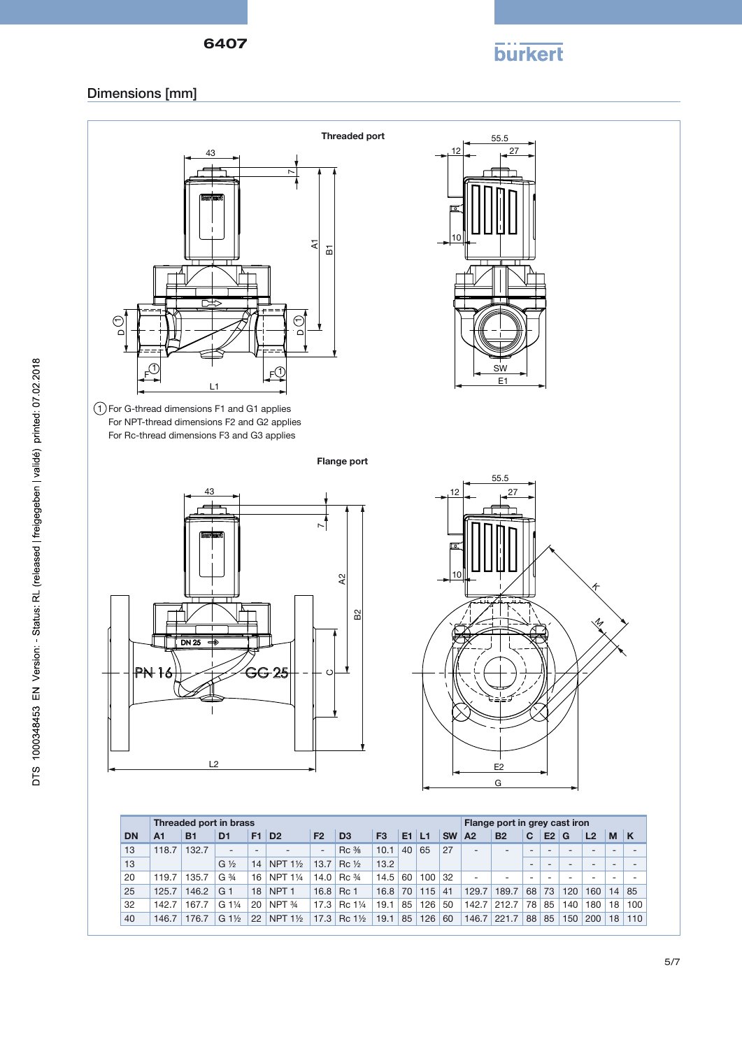

## Dimensions [mm]



25 125.7 146.2 G 1 18 NPT 1 16.8 Rc 1 16.8 70 115 41 129.7 189.7 68 73 120 160 14 85 32 142.7 167.7 G 1¼ 20 NPT ¾ 17.3 Rc 1¼ 19.1 85 126 50 142.7 212.7 78 85 140 180 18 100 40 146.7 176.7 G 1½ 22 NPT 1½ 17.3 Rc 1½ 19.1 85 126 60 146.7 221.7 88 85 150 200 18 110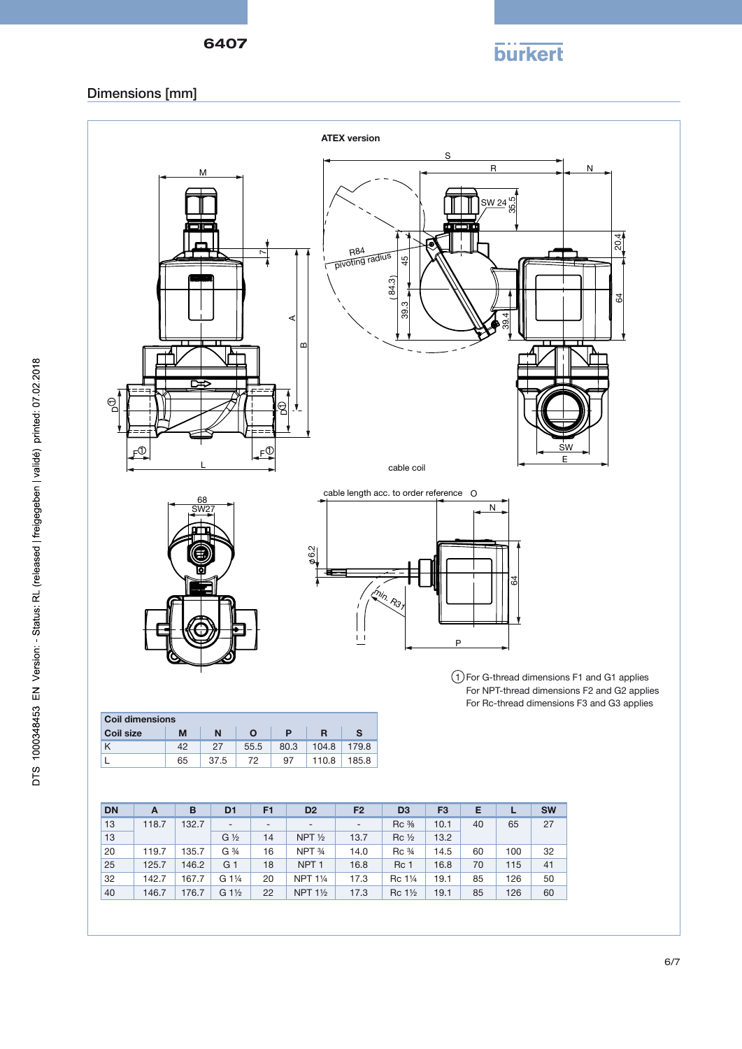

## Dimensions [mm]



| <b>DN</b> |       | B       | D <sub>1</sub>           | F <sub>1</sub>           | D <sub>2</sub>           | F <sub>2</sub>           | D <sub>3</sub>  | F <sub>3</sub> |        |     | <b>SW</b> |
|-----------|-------|---------|--------------------------|--------------------------|--------------------------|--------------------------|-----------------|----------------|--------|-----|-----------|
| 13        | 118.7 | 132.7   | $\overline{\phantom{a}}$ | $\overline{\phantom{0}}$ | $\overline{\phantom{0}}$ | $\overline{\phantom{a}}$ | Rc %            | 10.1           | 40     | 65  | 27        |
| 13        |       |         | $G\frac{1}{2}$           | 14                       | NPT $\frac{1}{2}$        | 13.7                     | $Rc\frac{1}{2}$ | 13.2           |        |     |           |
| $\cap$    | 4407  | $40E$ 7 | $\bigcap$ 3/             | $\overline{A}$           | NINT 3/                  | 410                      | $D - 31$        | $A$ $A$ $E$    | $\sim$ | 100 | $\cap$    |

| 13 |       |       | $G\frac{1}{2}$  | 14 | NPT $\frac{1}{2}$  | 13.7 | $\operatorname{Rc}\mathcal{V}_2$ | 13.2 |    |     |     |
|----|-------|-------|-----------------|----|--------------------|------|----------------------------------|------|----|-----|-----|
| 20 | 119.7 | 135.7 | G 3/4           | 16 | NPT 34             | 14.0 | $\text{Rc} \frac{3}{4}$          | 14.5 | 60 | 100 | -32 |
| 25 | 125.7 | 146.2 | G 1             | 18 | NPT <sub>1</sub>   | 16.8 | <b>Rc 1</b>                      | 16.8 | 70 | 115 | 41  |
| 32 | 142.7 | 167.7 | $\sqrt{G}$ 11/4 | 20 | NPT 11/4           | 17.3 | Rc 11/4                          | 19.1 | 85 | 126 | 50  |
| 40 | 146.7 | 176.7 | G 1½            | 22 | NPT $1\frac{1}{2}$ | 17.3 | Rc 1 <sup>1</sup> / <sub>2</sub> | 19.1 | 85 | 126 | 60  |